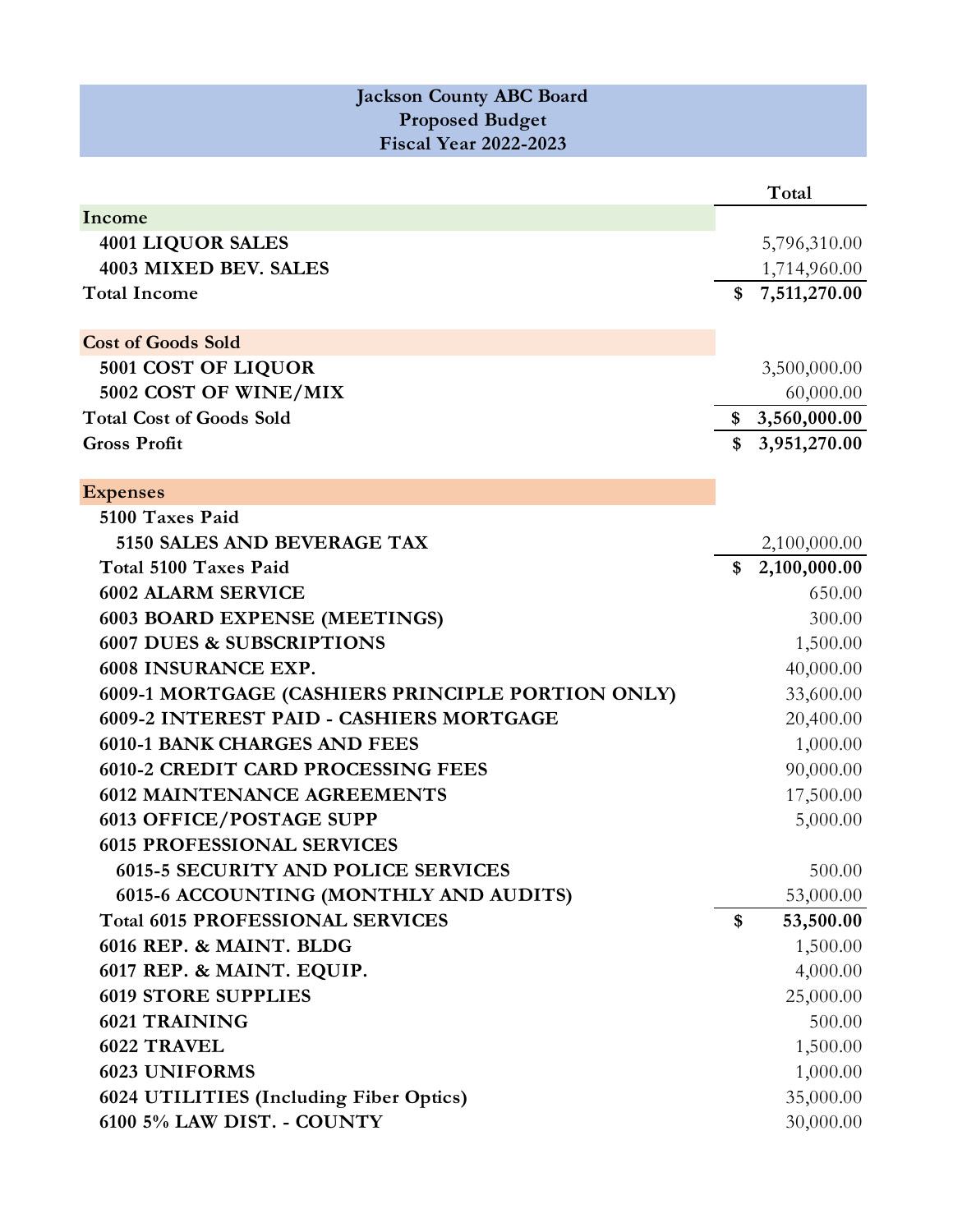| <b>Jackson County ABC Board</b><br><b>Proposed Budget</b><br><b>Fiscal Year 2022-2023</b> |                    |
|-------------------------------------------------------------------------------------------|--------------------|
|                                                                                           | Total              |
| Income                                                                                    |                    |
| <b>4001 LIQUOR SALES</b>                                                                  | 5,796,310.00       |
| 4003 MIXED BEV. SALES                                                                     | 1,714,960.00       |
| <b>Total Income</b>                                                                       | 7,511,270.00       |
|                                                                                           |                    |
| <b>Cost of Goods Sold</b>                                                                 |                    |
| 5001 COST OF LIQUOR                                                                       | 3,500,000.00       |
| 5002 COST OF WINE/MIX                                                                     | 60,000.00          |
| <b>Total Cost of Goods Sold</b>                                                           | \$3,560,000.00     |
| <b>Gross Profit</b>                                                                       | 3,951,270.00       |
|                                                                                           |                    |
| <b>Expenses</b>                                                                           |                    |
| 5100 Taxes Paid                                                                           |                    |
| 5150 SALES AND BEVERAGE TAX                                                               | 2,100,000.00       |
| Total 5100 Taxes Paid                                                                     | \$<br>2,100,000.00 |
| <b>6002 ALARM SERVICE</b>                                                                 | 650.00             |
| <b>6003 BOARD EXPENSE (MEETINGS)</b>                                                      | 300.00             |
| <b>6007 DUES &amp; SUBSCRIPTIONS</b>                                                      | 1,500.00           |
| 6008 INSURANCE EXP.                                                                       | 40,000.00          |
| 6009-1 MORTGAGE (CASHIERS PRINCIPLE PORTION ONLY)                                         | 33,600.00          |
| 6009-2 INTEREST PAID - CASHIERS MORTGAGE                                                  | 20,400.00          |
| <b>6010-1 BANK CHARGES AND FEES</b>                                                       | 1,000.00           |
| <b>6010-2 CREDIT CARD PROCESSING FEES</b>                                                 | 90,000.00          |
| <b>6012 MAINTENANCE AGREEMENTS</b>                                                        | 17,500.00          |
| <b>6013 OFFICE/POSTAGE SUPP</b>                                                           | 5,000.00           |
| <b>6015 PROFESSIONAL SERVICES</b>                                                         |                    |
| <b>6015-5 SECURITY AND POLICE SERVICES</b>                                                | 500.00             |
| 6015-6 ACCOUNTING (MONTHLY AND AUDITS)                                                    | 53,000.00          |
| <b>Total 6015 PROFESSIONAL SERVICES</b>                                                   | \$<br>53,500.00    |
| 6016 REP. & MAINT. BLDG                                                                   | 1,500.00           |
| 6017 REP. & MAINT. EQUIP.                                                                 | 4,000.00           |
| <b>6019 STORE SUPPLIES</b>                                                                | 25,000.00          |
| <b>6021 TRAINING</b>                                                                      | 500.00             |
| 6022 TRAVEL                                                                               | 1,500.00           |
| <b>6023 UNIFORMS</b>                                                                      | 1,000.00           |
| 6024 UTILITIES (Including Fiber Optics)                                                   | 35,000.00          |
| 6100 5% LAW DIST. - COUNTY                                                                | 30,000.00          |